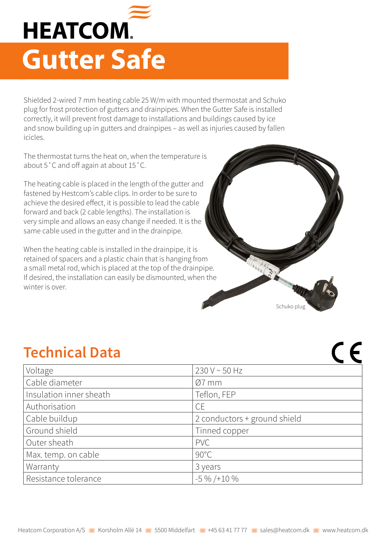

Shielded 2-wired 7 mm heating cable 25 W/m with mounted thermostat and Schuko plug for frost protection of gutters and drainpipes. When the Gutter Safe is installed correctly, it will prevent frost damage to installations and buildings caused by ice and snow building up in gutters and drainpipes – as well as injuries caused by fallen icicles.

The thermostat turns the heat on, when the temperature is about 5˚C and off again at about 15˚C.

The heating cable is placed in the length of the gutter and fastened by Hestcom's cable clips. In order to be sure to achieve the desired effect, it is possible to lead the cable forward and back (2 cable lengths). The installation is very simple and allows an easy change if needed. It is the same cable used in the gutter and in the drainpipe.

When the heating cable is installed in the drainpipe, it is retained of spacers and a plastic chain that is hanging from a small metal rod, which is placed at the top of the drainpipe. If desired, the installation can easily be dismounted, when the winter is over.



 $C \subset$ 

## **Technical Data**

| Voltage                 | 230 V ~ 50 Hz                |
|-------------------------|------------------------------|
| Cable diameter          | $Ø7$ mm                      |
| Insulation inner sheath | Teflon, FEP                  |
| Authorisation           | <b>CE</b>                    |
| Cable buildup           | 2 conductors + ground shield |
| Ground shield           | Tinned copper                |
| Outer sheath            | <b>PVC</b>                   |
| Max. temp. on cable     | $90^{\circ}$ C               |
| Warranty                | 3 years                      |
| Resistance tolerance    | $-5\%$ /+10 %                |